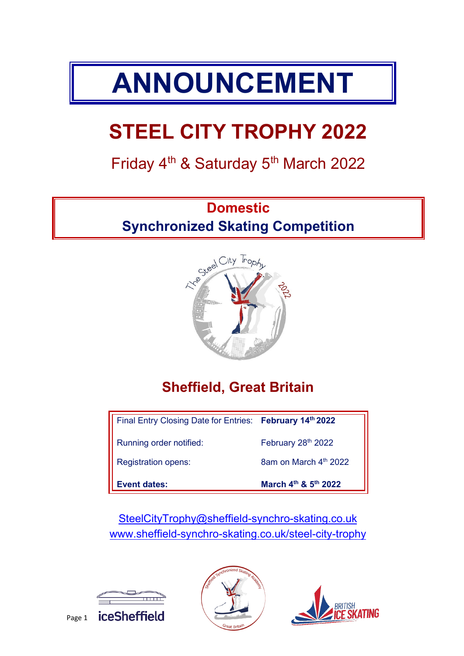# **ANNOUNCEMENT**

## **STEEL CITY TROPHY 2022**

## Friday 4<sup>th</sup> & Saturday 5<sup>th</sup> March 2022

## **Domestic Synchronized Skating Competition**



## **Sheffield, Great Britain**

| Final Entry Closing Date for Entries: February 14th 2022 |                                |
|----------------------------------------------------------|--------------------------------|
| Running order notified:                                  | February 28th 2022             |
| <b>Registration opens:</b>                               | 8am on March $4th$ 2022        |
| <b>Event dates:</b>                                      | March $4^{th}$ & $5^{th}$ 2022 |

[SteelCityTrophy@sheffield-synchro-skating.co.uk](mailto:SteelCityTrophy@sheffield-synchro-skating.co.uk) [www.sheffield-synchro-skating.co.uk/](http://www.sheffield-synchro-skating.co.uk/)steel-city-trophy





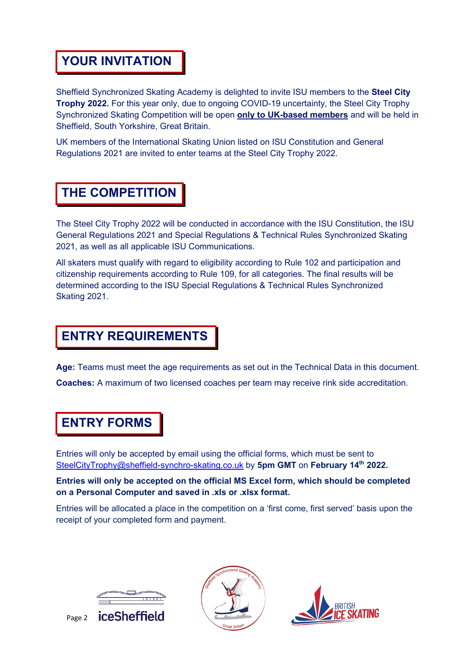#### **YOUR INVITATION**

Sheffield Synchronized Skating Academy is delighted to invite ISU members to the **Steel City Trophy 2022.** For this year only, due to ongoing COVID-19 uncertainty, the Steel City Trophy Synchronized Skating Competition will be open **only to UK-based members** and will be held in Sheffield, South Yorkshire, Great Britain.

UK members of the International Skating Union listed on ISU Constitution and General Regulations 2021 are invited to enter teams at the Steel City Trophy 2022.

#### **THE COMPETITION**

The Steel City Trophy 2022 will be conducted in accordance with the ISU Constitution, the ISU General Regulations 2021 and Special Regulations & Technical Rules Synchronized Skating 2021, as well as all applicable ISU Communications.

All skaters must qualify with regard to eligibility according to Rule 102 and participation and citizenship requirements according to Rule 109, for all categories. The final results will be determined according to the ISU Special Regulations & Technical Rules Synchronized Skating 2021.

#### **ENTRY REQUIREMENTS**

**Age:** Teams must meet the age requirements as set out in the Technical Data in this document. **Coaches:** A maximum of two licensed coaches per team may receive rink side accreditation.

#### **ENTRY FORMS**

Entries will only be accepted by email using the official forms, which must be sent to [SteelCityTrophy@sheffield-synchro-skating.co.uk](mailto:SteelCityTrophy@sheffield-synchro-skating.co.uk) by **5pm GMT** on **February 14th 2022.**

**Entries will only be accepted on the official MS Excel form, which should be completed on a Personal Computer and saved in .xls or .xlsx format.**

Entries will be allocated a place in the competition on a 'first come, first served' basis upon the receipt of your completed form and payment.





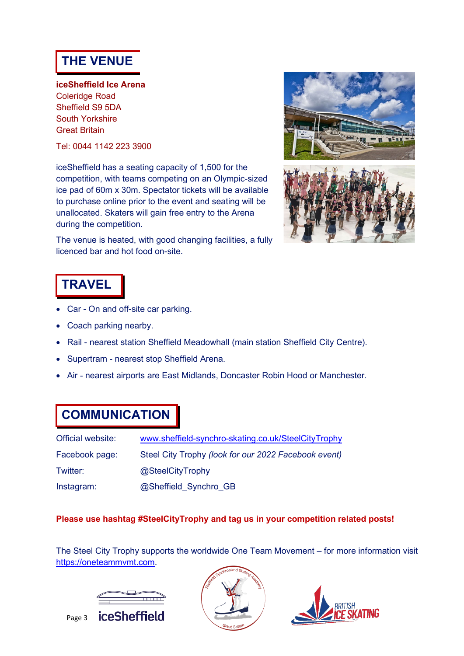#### **THE VENUE**

**iceSheffield Ice Arena** Coleridge Road Sheffield S9 5DA South Yorkshire Great Britain

Tel: 0044 1142 223 3900

iceSheffield has a seating capacity of 1,500 for the competition, with teams competing on an Olympic-sized ice pad of 60m x 30m. Spectator tickets will be available to purchase online prior to the event and seating will be unallocated. Skaters will gain free entry to the Arena during the competition.





## **TRAVEL**

- Car On and off-site car parking.
- Coach parking nearby.
- Rail nearest station Sheffield Meadowhall (main station Sheffield City Centre).
- Supertram nearest stop Sheffield Arena.
- Air nearest airports are East Midlands, Doncaster Robin Hood or Manchester.

#### **COMMUNICATION**

| Official website: | www.sheffield-synchro-skating.co.uk/SteelCityTrophy  |
|-------------------|------------------------------------------------------|
| Facebook page:    | Steel City Trophy (look for our 2022 Facebook event) |
| Twitter:          | @SteelCityTrophy                                     |
| Instagram:        | @Sheffield Synchro GB                                |

#### **Please use hashtag #SteelCityTrophy and tag us in your competition related posts!**

The Steel City Trophy supports the worldwide One Team Movement – for more information visit [https://oneteammvmt.com.](https://oneteammvmt.com/)





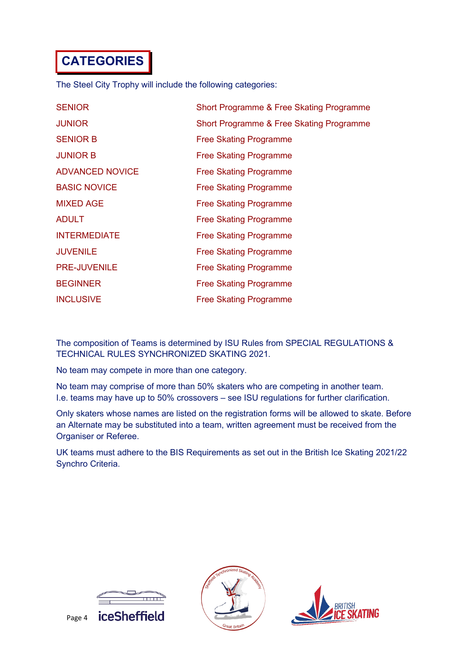### **CATEGORIES**

The Steel City Trophy will include the following categories:

| <b>SENIOR</b>          | Short Programme & Free Skating Programme |
|------------------------|------------------------------------------|
| <b>JUNIOR</b>          | Short Programme & Free Skating Programme |
| <b>SENIOR B</b>        | <b>Free Skating Programme</b>            |
| <b>JUNIOR B</b>        | <b>Free Skating Programme</b>            |
| <b>ADVANCED NOVICE</b> | <b>Free Skating Programme</b>            |
| <b>BASIC NOVICE</b>    | <b>Free Skating Programme</b>            |
| <b>MIXED AGE</b>       | <b>Free Skating Programme</b>            |
| <b>ADULT</b>           | <b>Free Skating Programme</b>            |
| <b>INTERMEDIATE</b>    | <b>Free Skating Programme</b>            |
| <b>JUVENILE</b>        | <b>Free Skating Programme</b>            |
| <b>PRE-JUVENILE</b>    | <b>Free Skating Programme</b>            |
| <b>BEGINNER</b>        | <b>Free Skating Programme</b>            |
| <b>INCLUSIVE</b>       | <b>Free Skating Programme</b>            |

The composition of Teams is determined by ISU Rules from SPECIAL REGULATIONS & TECHNICAL RULES SYNCHRONIZED SKATING 2021.

No team may compete in more than one category.

No team may comprise of more than 50% skaters who are competing in another team. I.e. teams may have up to 50% crossovers – see ISU regulations for further clarification.

Only skaters whose names are listed on the registration forms will be allowed to skate. Before an Alternate may be substituted into a team, written agreement must be received from the Organiser or Referee.

UK teams must adhere to the BIS Requirements as set out in the British Ice Skating 2021/22 Synchro Criteria.





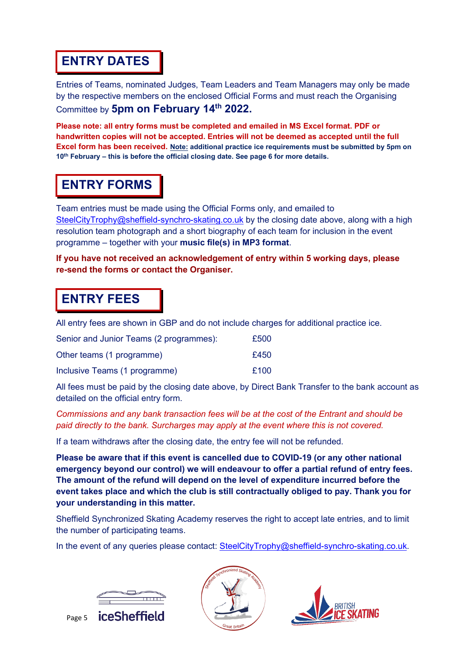#### **ENTRY DATES**

Entries of Teams, nominated Judges, Team Leaders and Team Managers may only be made by the respective members on the enclosed Official Forms and must reach the Organising Committee by **5pm on February 14th 2022.**

**Please note: all entry forms must be completed and emailed in MS Excel format. PDF or handwritten copies will not be accepted. Entries will not be deemed as accepted until the full Excel form has been received. Note: additional practice ice requirements must be submitted by 5pm on 10th February – this is before the official closing date. See page 6 for more details.**

#### **ENTRY FORMS**

Team entries must be made using the Official Forms only, and emailed to [SteelCityTrophy@sheffield-synchro-skating.co.uk](mailto:SteelCityTrophy@sheffield-synchro-skating.co.uk) by the closing date above, along with a high resolution team photograph and a short biography of each team for inclusion in the event programme – together with your **music file(s) in MP3 format**.

**If you have not received an acknowledgement of entry within 5 working days, please re-send the forms or contact the Organiser.**

#### **ENTRY FEES**

All entry fees are shown in GBP and do not include charges for additional practice ice.

| Senior and Junior Teams (2 programmes): | £500 |
|-----------------------------------------|------|
| Other teams (1 programme)               | £450 |
| Inclusive Teams (1 programme)           | £100 |

All fees must be paid by the closing date above, by Direct Bank Transfer to the bank account as detailed on the official entry form.

*Commissions and any bank transaction fees will be at the cost of the Entrant and should be paid directly to the bank. Surcharges may apply at the event where this is not covered.*

If a team withdraws after the closing date, the entry fee will not be refunded.

**Please be aware that if this event is cancelled due to COVID-19 (or any other national emergency beyond our control) we will endeavour to offer a partial refund of entry fees. The amount of the refund will depend on the level of expenditure incurred before the event takes place and which the club is still contractually obliged to pay. Thank you for your understanding in this matter.**

Sheffield Synchronized Skating Academy reserves the right to accept late entries, and to limit the number of participating teams.

In the event of any queries please contact: [SteelCityTrophy@sheffield-synchro-skating.co.uk.](mailto:SteelCityTrophy@sheffield-synchro-skating.co.uk)





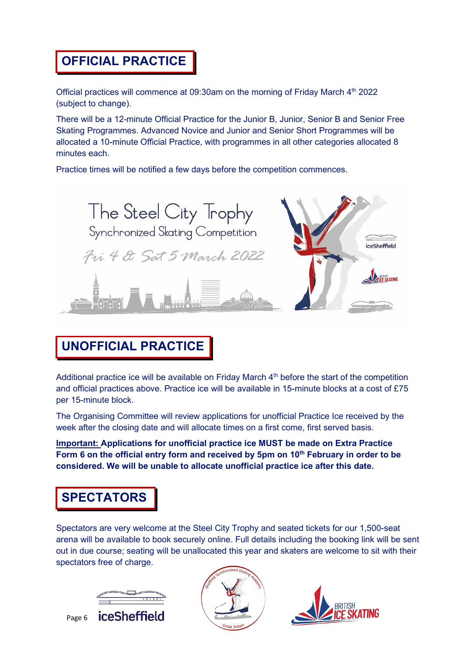#### **OFFICIAL PRACTICE**

Official practices will commence at 09:30am on the morning of Friday March  $4<sup>th</sup>$  2022 (subject to change).

There will be a 12-minute Official Practice for the Junior B, Junior, Senior B and Senior Free Skating Programmes. Advanced Novice and Junior and Senior Short Programmes will be allocated a 10-minute Official Practice, with programmes in all other categories allocated 8 minutes each.

Practice times will be notified a few days before the competition commences.



### **UNOFFICIAL PRACTICE**

Additional practice ice will be available on Friday March 4<sup>th</sup> before the start of the competition and official practices above. Practice ice will be available in 15-minute blocks at a cost of £75 per 15-minute block.

The Organising Committee will review applications for unofficial Practice Ice received by the week after the closing date and will allocate times on a first come, first served basis.

**Important: Applications for unofficial practice ice MUST be made on Extra Practice**  Form 6 on the official entry form and received by 5pm on 10<sup>th</sup> February in order to be **considered. We will be unable to allocate unofficial practice ice after this date.**

#### **SPECTATORS**

Spectators are very welcome at the Steel City Trophy and seated tickets for our 1,500-seat arena will be available to book securely online. Full details including the booking link will be sent out in due course; seating will be unallocated this year and skaters are welcome to sit with their spectators free of charge.





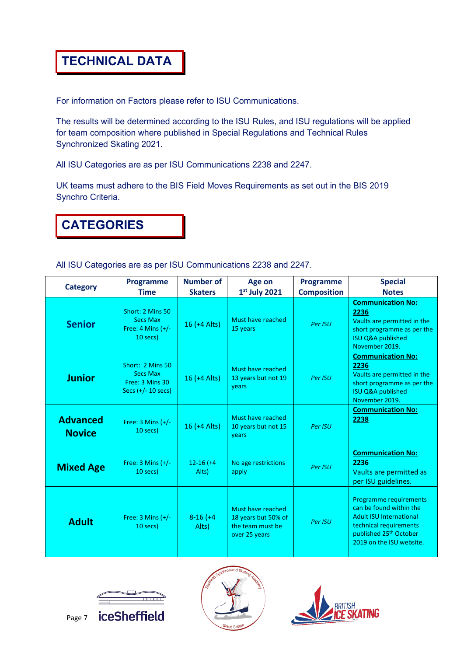#### **TECHNICAL DATA**

For information on Factors please refer to ISU Communications.

The results will be determined according to the ISU Rules, and ISU regulations will be applied for team composition where published in Special Regulations and Technical Rules Synchronized Skating 2021.

All ISU Categories are as per ISU Communications 2238 and 2247.

UK teams must adhere to the BIS Field Moves Requirements as set out in the BIS 2019 Synchro Criteria.

#### **CATEGORIES**

All ISU Categories are as per ISU Communications 2238 and 2247.

| <b>Category</b>                  | <b>Programme</b><br><b>Time</b>                                                | <b>Number of</b><br><b>Skaters</b> | Age on<br>$1st$ July 2021                                                     | <b>Programme</b><br><b>Composition</b> | <b>Special</b><br><b>Notes</b>                                                                                                                                                  |
|----------------------------------|--------------------------------------------------------------------------------|------------------------------------|-------------------------------------------------------------------------------|----------------------------------------|---------------------------------------------------------------------------------------------------------------------------------------------------------------------------------|
| <b>Senior</b>                    | Short: 2 Mins 50<br><b>Secs Max</b><br>Free: 4 Mins $(+/-)$<br>$10$ secs)      | 16 (+4 Alts)                       | Must have reached<br>15 years                                                 | Per ISU                                | <b>Communication No:</b><br>2236<br>Vaults are permitted in the<br>short programme as per the<br><b>ISU Q&amp;A published</b><br>November 2019.                                 |
| <b>Junior</b>                    | Short: 2 Mins 50<br><b>Secs Max</b><br>Free: 3 Mins 30<br>Secs $(+/- 10$ secs) | $16 (+4$ Alts)                     | Must have reached<br>13 years but not 19<br>years                             | Per ISU                                | <b>Communication No:</b><br>2236<br>Vaults are permitted in the<br>short programme as per the<br><b>ISU Q&amp;A published</b><br>November 2019.                                 |
| <b>Advanced</b><br><b>Novice</b> | Free: $3$ Mins $(+/-)$<br>$10$ secs)                                           | $16 (+4$ Alts)                     | Must have reached<br>10 years but not 15<br>years                             | Per ISU                                | <b>Communication No:</b><br>2238                                                                                                                                                |
| <b>Mixed Age</b>                 | Free: $3$ Mins $(+/-)$<br>$10$ secs)                                           | $12-16$ (+4<br>Alts)               | No age restrictions<br>apply                                                  | Per ISU                                | <b>Communication No:</b><br>2236<br>Vaults are permitted as<br>per ISU guidelines.                                                                                              |
| <b>Adult</b>                     | Free: $3$ Mins $(+/-)$<br>$10$ secs)                                           | $8-16$ (+4<br>Alts)                | Must have reached<br>18 years but 50% of<br>the team must be<br>over 25 years | Per ISU                                | Programme requirements<br>can be found within the<br><b>Adult ISU International</b><br>technical requirements<br>published 25 <sup>th</sup> October<br>2019 on the ISU website. |





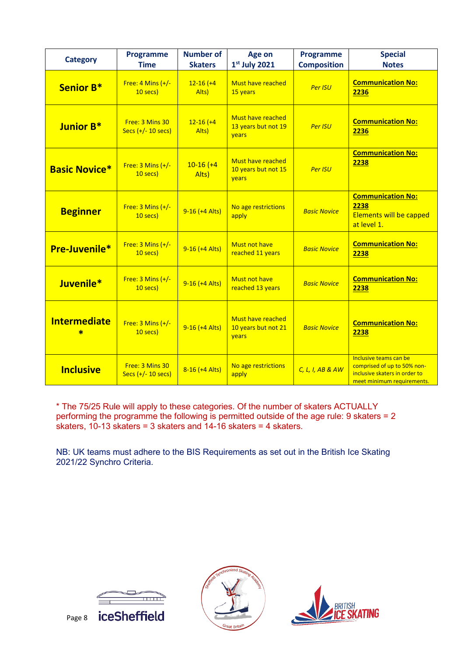| <b>Category</b>      | Programme<br><b>Time</b>                | <b>Number of</b><br><b>Skaters</b> | Age on<br>$1st$ July 2021                                | Programme<br><b>Composition</b> | <b>Special</b><br><b>Notes</b>                                                                                       |
|----------------------|-----------------------------------------|------------------------------------|----------------------------------------------------------|---------------------------------|----------------------------------------------------------------------------------------------------------------------|
| <b>Senior B*</b>     | Free: $4$ Mins $(+/-)$<br>10 secs)      | $12 - 16 (+4)$<br>Alts)            | <b>Must have reached</b><br>15 years                     | <b>Per ISU</b>                  | <b>Communication No:</b><br>2236                                                                                     |
| Junior B*            | Free: 3 Mins 30<br>Secs $(+/- 10$ secs) | $12-16$ $(+4)$<br>Alts)            | Must have reached<br>13 years but not 19<br>years        | <b>Per ISU</b>                  | <b>Communication No:</b><br>2236                                                                                     |
| <b>Basic Novice*</b> | Free: $3$ Mins $(+/-$<br>10 secs)       | $10-16$ (+4<br>Alts)               | <b>Must have reached</b><br>10 years but not 15<br>vears | <b>Per ISU</b>                  | <b>Communication No:</b><br>2238                                                                                     |
| <b>Beginner</b>      | Free: $3$ Mins $(+/-)$<br>$10$ secs)    | $9-16$ (+4 Alts)                   | No age restrictions<br>apply                             | <b>Basic Novice</b>             | <b>Communication No:</b><br>2238<br><b>Elements will be capped</b><br>at level 1.                                    |
| Pre-Juvenile*        | Free: $3$ Mins $(+/-)$<br>10 secs)      | $9-16$ (+4 Alts)                   | <b>Must not have</b><br>reached 11 years                 | <b>Basic Novice</b>             | <b>Communication No:</b><br>2238                                                                                     |
| Juvenile*            | Free: $3$ Mins $(+/-)$<br>$10$ secs)    | $9-16$ (+4 Alts)                   | <b>Must not have</b><br>reached 13 years                 | <b>Basic Novice</b>             | <b>Communication No:</b><br>2238                                                                                     |
| <b>Intermediate</b>  | Free: $3$ Mins $(+/-)$<br>10 secs)      | $9-16$ (+4 Alts)                   | <b>Must have reached</b><br>10 years but not 21<br>years | <b>Basic Novice</b>             | <b>Communication No:</b><br>2238                                                                                     |
| <b>Inclusive</b>     | Free: 3 Mins 30<br>Secs $(+/- 10$ secs) | 8-16 (+4 Alts)                     | No age restrictions<br>apply                             | C, L, I, AB & AW                | Inclusive teams can be<br>comprised of up to 50% non-<br>inclusive skaters in order to<br>meet minimum requirements. |

\* The 75/25 Rule will apply to these categories. Of the number of skaters ACTUALLY performing the programme the following is permitted outside of the age rule: 9 skaters = 2  $\overline{\phantom{a}}$  skaters, 10-13 skaters = 3 skaters and 14-16 skaters = 4 skaters.

NB: UK teams must adhere to the BIS Requirements as set out in the British Ice Skating 2021/22 Synchro Criteria.





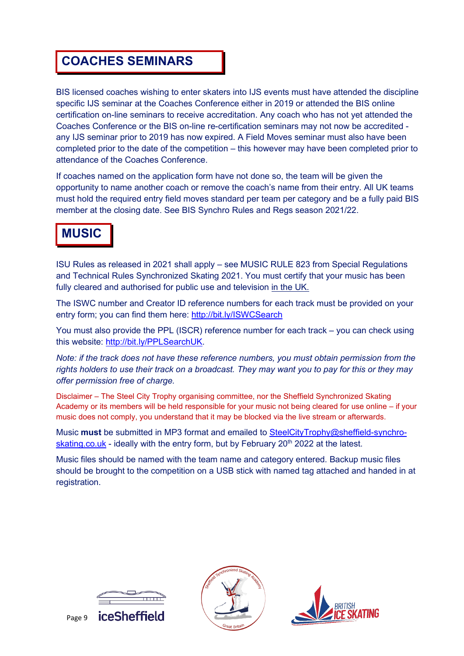#### **COACHES SEMINARS**

BIS licensed coaches wishing to enter skaters into IJS events must have attended the discipline specific IJS seminar at the Coaches Conference either in 2019 or attended the BIS online certification on-line seminars to receive accreditation. Any coach who has not yet attended the Coaches Conference or the BIS on-line re-certification seminars may not now be accredited any IJS seminar prior to 2019 has now expired. A Field Moves seminar must also have been completed prior to the date of the competition – this however may have been completed prior to attendance of the Coaches Conference.

If coaches named on the application form have not done so, the team will be given the opportunity to name another coach or remove the coach's name from their entry. All UK teams must hold the required entry field moves standard per team per category and be a fully paid BIS member at the closing date. See BIS Synchro Rules and Regs season 2021/22.

#### **MUSIC**

ISU Rules as released in 2021 shall apply – see MUSIC RULE 823 from Special Regulations and Technical Rules Synchronized Skating 2021. You must certify that your music has been fully cleared and authorised for public use and television in the UK.

The ISWC number and Creator ID reference numbers for each track must be provided on your entry form; you can find them here:<http://bit.ly/ISWCSearch>

You must also provide the PPL (ISCR) reference number for each track – you can check using this website: [http://bit.ly/PPLSearchUK.](http://bit.ly/PPLSearchUK)

*Note: if the track does not have these reference numbers, you must obtain permission from the rights holders to use their track on a broadcast. They may want you to pay for this or they may offer permission free of charge.*

Disclaimer – The Steel City Trophy organising committee, nor the Sheffield Synchronized Skating Academy or its members will be held responsible for your music not being cleared for use online – if your music does not comply, you understand that it may be blocked via the live stream or afterwards.

Music **must** be submitted in MP3 format and emailed to [SteelCityTrophy@sheffield-synchro](mailto:SteelCityTrophy@sheffield-synchro-skating.co.uk)[skating.co.uk](mailto:SteelCityTrophy@sheffield-synchro-skating.co.uk) - ideally with the entry form, but by February  $20<sup>th</sup>$  2022 at the latest.

Music files should be named with the team name and category entered. Backup music files should be brought to the competition on a USB stick with named tag attached and handed in at registration.







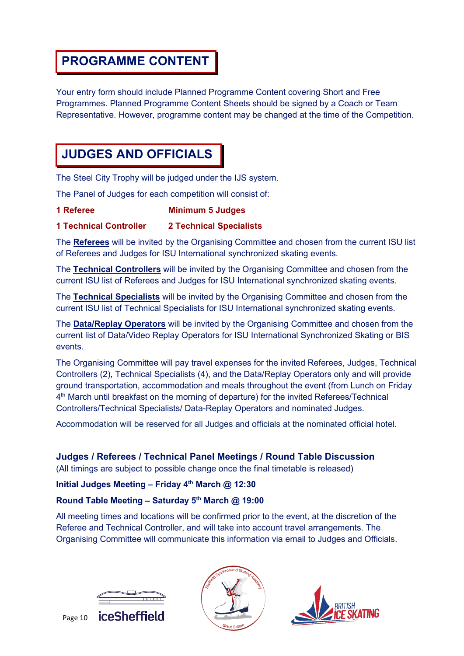#### **PROGRAMME CONTENT**

Your entry form should include Planned Programme Content covering Short and Free Programmes. Planned Programme Content Sheets should be signed by a Coach or Team Representative. However, programme content may be changed at the time of the Competition.

#### **JUDGES AND OFFICIALS**

The Steel City Trophy will be judged under the IJS system.

The Panel of Judges for each competition will consist of:

#### **1 Referee Minimum 5 Judges**

#### **1 Technical Controller 2 Technical Specialists**

The **Referees** will be invited by the Organising Committee and chosen from the current ISU list of Referees and Judges for ISU International synchronized skating events.

The **Technical Controllers** will be invited by the Organising Committee and chosen from the current ISU list of Referees and Judges for ISU International synchronized skating events.

The **Technical Specialists** will be invited by the Organising Committee and chosen from the current ISU list of Technical Specialists for ISU International synchronized skating events.

The **Data/Replay Operators** will be invited by the Organising Committee and chosen from the current list of Data/Video Replay Operators for ISU International Synchronized Skating or BIS events.

The Organising Committee will pay travel expenses for the invited Referees, Judges, Technical Controllers (2), Technical Specialists (4), and the Data/Replay Operators only and will provide ground transportation, accommodation and meals throughout the event (from Lunch on Friday 4th March until breakfast on the morning of departure) for the invited Referees/Technical Controllers/Technical Specialists/ Data-Replay Operators and nominated Judges.

Accommodation will be reserved for all Judges and officials at the nominated official hotel.

#### **Judges / Referees / Technical Panel Meetings / Round Table Discussion**

(All timings are subject to possible change once the final timetable is released)

#### **Initial Judges Meeting – Friday 4th March @ 12:30**

#### **Round Table Meeting – Saturday 5th March @ 19:00**

All meeting times and locations will be confirmed prior to the event, at the discretion of the Referee and Technical Controller, and will take into account travel arrangements. The Organising Committee will communicate this information via email to Judges and Officials.





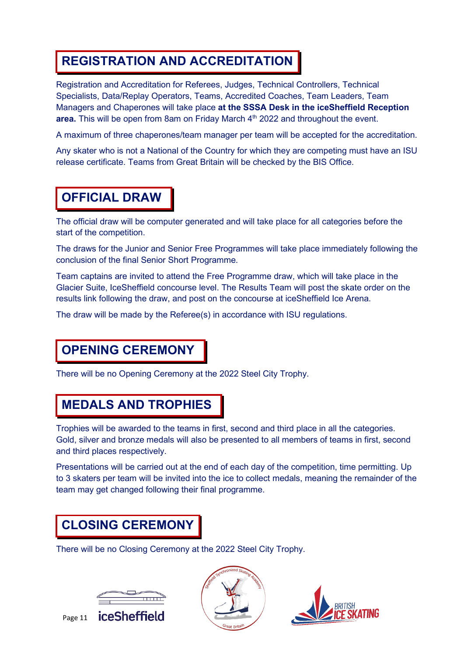#### **REGISTRATION AND ACCREDITATION**

Registration and Accreditation for Referees, Judges, Technical Controllers, Technical Specialists, Data/Replay Operators, Teams, Accredited Coaches, Team Leaders, Team Managers and Chaperones will take place **at the SSSA Desk in the iceSheffield Reception area.** This will be open from 8am on Friday March 4<sup>th</sup> 2022 and throughout the event.

A maximum of three chaperones/team manager per team will be accepted for the accreditation.

Any skater who is not a National of the Country for which they are competing must have an ISU release certificate. Teams from Great Britain will be checked by the BIS Office.

#### **OFFICIAL DRAW**

The official draw will be computer generated and will take place for all categories before the start of the competition.

The draws for the Junior and Senior Free Programmes will take place immediately following the conclusion of the final Senior Short Programme.

Team captains are invited to attend the Free Programme draw, which will take place in the Glacier Suite, IceSheffield concourse level. The Results Team will post the skate order on the results link following the draw, and post on the concourse at iceSheffield Ice Arena.

The draw will be made by the Referee(s) in accordance with ISU regulations.

#### **OPENING CEREMONY**

There will be no Opening Ceremony at the 2022 Steel City Trophy.

#### **MEDALS AND TROPHIES**

Trophies will be awarded to the teams in first, second and third place in all the categories. Gold, silver and bronze medals will also be presented to all members of teams in first, second and third places respectively.

Presentations will be carried out at the end of each day of the competition, time permitting. Up to 3 skaters per team will be invited into the ice to collect medals, meaning the remainder of the team may get changed following their final programme.

### **CLOSING CEREMONY**

There will be no Closing Ceremony at the 2022 Steel City Trophy.





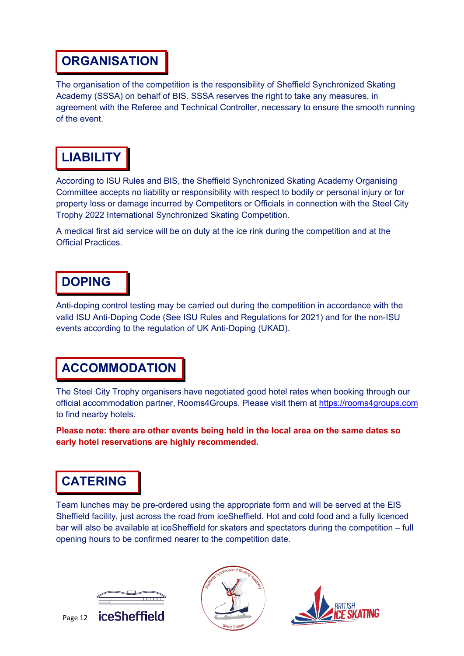#### **ORGANISATION**

The organisation of the competition is the responsibility of Sheffield Synchronized Skating Academy (SSSA) on behalf of BIS. SSSA reserves the right to take any measures, in agreement with the Referee and Technical Controller, necessary to ensure the smooth running of the event.

## **LIABILITY**

According to ISU Rules and BIS, the Sheffield Synchronized Skating Academy Organising Committee accepts no liability or responsibility with respect to bodily or personal injury or for property loss or damage incurred by Competitors or Officials in connection with the Steel City Trophy 2022 International Synchronized Skating Competition.

A medical first aid service will be on duty at the ice rink during the competition and at the Official Practices.

#### **DOPING**

Anti-doping control testing may be carried out during the competition in accordance with the valid ISU Anti-Doping Code (See ISU Rules and Regulations for 2021) and for the non-ISU events according to the regulation of UK Anti-Doping (UKAD).

#### **ACCOMMODATION**

The Steel City Trophy organisers have negotiated good hotel rates when booking through our official accommodation partner, Rooms4Groups. Please visit them at [https://rooms4groups.com](https://rooms4groups.com/) to find nearby hotels.

**Please note: there are other events being held in the local area on the same dates so early hotel reservations are highly recommended.**

#### **CATERING**

Team lunches may be pre-ordered using the appropriate form and will be served at the EIS Sheffield facility, just across the road from iceSheffield. Hot and cold food and a fully licenced bar will also be available at iceSheffield for skaters and spectators during the competition – full opening hours to be confirmed nearer to the competition date.





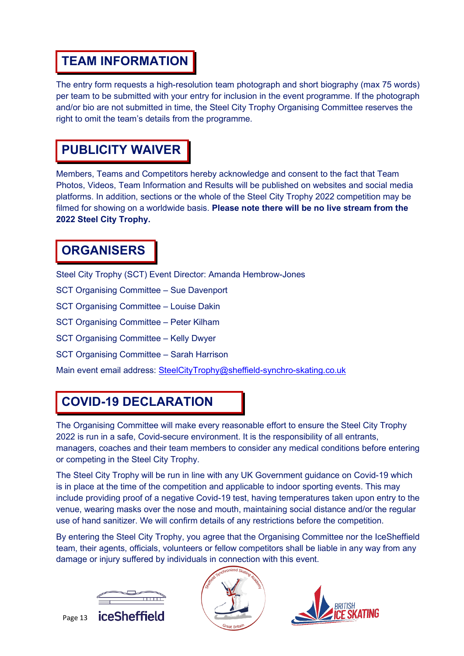#### **TEAM INFORMATION**

The entry form requests a high-resolution team photograph and short biography (max 75 words) per team to be submitted with your entry for inclusion in the event programme. If the photograph and/or bio are not submitted in time, the Steel City Trophy Organising Committee reserves the right to omit the team's details from the programme.

### **PUBLICITY WAIVER**

Members, Teams and Competitors hereby acknowledge and consent to the fact that Team Photos, Videos, Team Information and Results will be published on websites and social media platforms. In addition, sections or the whole of the Steel City Trophy 2022 competition may be filmed for showing on a worldwide basis. **Please note there will be no live stream from the 2022 Steel City Trophy.**

#### **ORGANISERS**

Steel City Trophy (SCT) Event Director: Amanda Hembrow-Jones

SCT Organising Committee – Sue Davenport

SCT Organising Committee – Louise Dakin

SCT Organising Committee – Peter Kilham

SCT Organising Committee – Kelly Dwyer

SCT Organising Committee – Sarah Harrison

Main event email address: [SteelCityTrophy@sheffield-synchro-skating.co.uk](mailto:SteelCityTrophy@sheffield-synchro-skating.co.uk)

#### **COVID-19 DECLARATION**

The Organising Committee will make every reasonable effort to ensure the Steel City Trophy 2022 is run in a safe, Covid-secure environment. It is the responsibility of all entrants, managers, coaches and their team members to consider any medical conditions before entering or competing in the Steel City Trophy.

The Steel City Trophy will be run in line with any UK Government guidance on Covid-19 which is in place at the time of the competition and applicable to indoor sporting events. This may include providing proof of a negative Covid-19 test, having temperatures taken upon entry to the venue, wearing masks over the nose and mouth, maintaining social distance and/or the regular use of hand sanitizer. We will confirm details of any restrictions before the competition.

By entering the Steel City Trophy, you agree that the Organising Committee nor the IceSheffield team, their agents, officials, volunteers or fellow competitors shall be liable in any way from any damage or injury suffered by individuals in connection with this event.